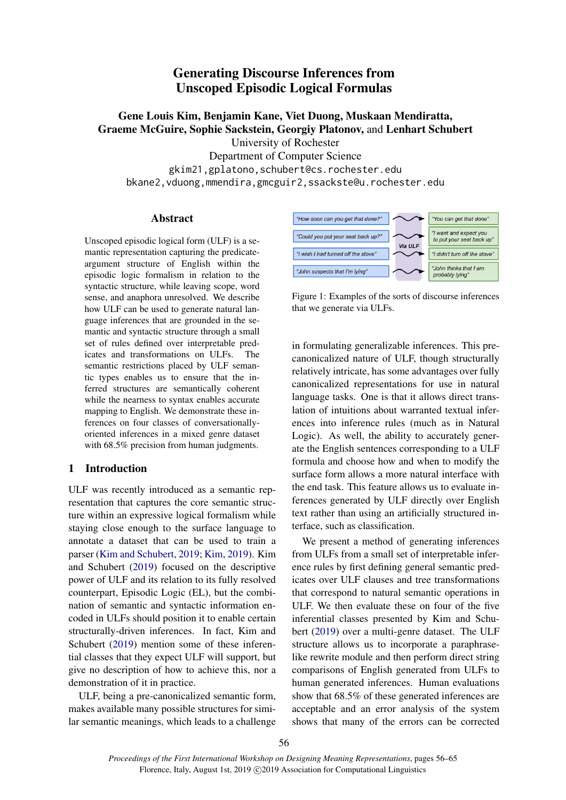# Generating Discourse Inferences from Unscoped Episodic Logical Formulas

Gene Louis Kim, Benjamin Kane, Viet Duong, Muskaan Mendiratta, Graeme McGuire, Sophie Sackstein, Georgiy Platonov, and Lenhart Schubert University of Rochester

Department of Computer Science

gkim21,gplatono,schubert@cs.rochester.edu

bkane2,vduong,mmendira,gmcguir2,ssackste@u.rochester.edu

### Abstract

Unscoped episodic logical form (ULF) is a semantic representation capturing the predicateargument structure of English within the episodic logic formalism in relation to the syntactic structure, while leaving scope, word sense, and anaphora unresolved. We describe how ULF can be used to generate natural language inferences that are grounded in the semantic and syntactic structure through a small set of rules defined over interpretable predicates and transformations on ULFs. The semantic restrictions placed by ULF semantic types enables us to ensure that the inferred structures are semantically coherent while the nearness to syntax enables accurate mapping to English. We demonstrate these inferences on four classes of conversationallyoriented inferences in a mixed genre dataset with  $68.5\%$  precision from human judgments.

# 1 Introduction

ULF was recently introduced as a semantic representation that captures the core semantic structure within an expressive logical formalism while staying close enough to the surface language to annotate a dataset that can be used to train a parser [\(Kim and Schubert,](#page-8-0) [2019;](#page-8-0) [Kim,](#page-8-1) [2019\)](#page-8-1). Kim and Schubert [\(2019\)](#page-8-0) focused on the descriptive power of ULF and its relation to its fully resolved counterpart, Episodic Logic (EL), but the combination of semantic and syntactic information encoded in ULFs should position it to enable certain structurally-driven inferences. In fact, Kim and Schubert [\(2019\)](#page-8-0) mention some of these inferential classes that they expect ULF will support, but give no description of how to achieve this, nor a demonstration of it in practice.

ULF, being a pre-canonicalized semantic form, makes available many possible structures for similar semantic meanings, which leads to a challenge



Figure 1: Examples of the sorts of discourse inferences that we generate via ULFs.

in formulating generalizable inferences. This precanonicalized nature of ULF, though structurally relatively intricate, has some advantages over fully canonicalized representations for use in natural language tasks. One is that it allows direct translation of intuitions about warranted textual inferences into inference rules (much as in Natural Logic). As well, the ability to accurately generate the English sentences corresponding to a ULF formula and choose how and when to modify the surface form allows a more natural interface with the end task. This feature allows us to evaluate inferences generated by ULF directly over English text rather than using an artificially structured interface, such as classification.

We present a method of generating inferences from ULFs from a small set of interpretable inference rules by first defining general semantic predicates over ULF clauses and tree transformations that correspond to natural semantic operations in ULF. We then evaluate these on four of the five inferential classes presented by Kim and Schubert [\(2019\)](#page-8-0) over a multi-genre dataset. The ULF structure allows us to incorporate a paraphraselike rewrite module and then perform direct string comparisons of English generated from ULFs to human generated inferences. Human evaluations show that 68.5% of these generated inferences are acceptable and an error analysis of the system shows that many of the errors can be corrected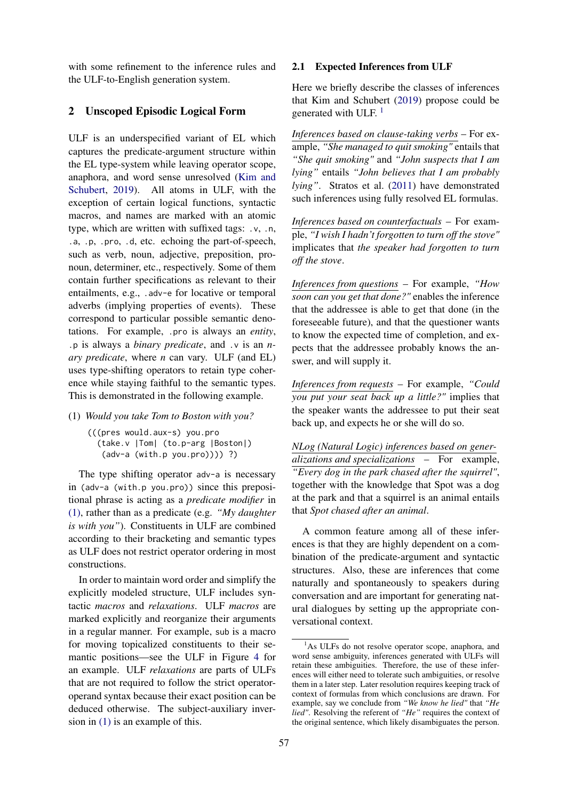with some refinement to the inference rules and the ULF-to-English generation system.

### 2 Unscoped Episodic Logical Form

ULF is an underspecified variant of EL which captures the predicate-argument structure within the EL type-system while leaving operator scope, anaphora, and word sense unresolved [\(Kim and](#page-8-0) [Schubert,](#page-8-0) [2019\)](#page-8-0). All atoms in ULF, with the exception of certain logical functions, syntactic macros, and names are marked with an atomic type, which are written with suffixed tags: .v, .n, .a, .p, .pro, .d, etc. echoing the part-of-speech, such as verb, noun, adjective, preposition, pronoun, determiner, etc., respectively. Some of them contain further specifications as relevant to their entailments, e.g., .adv-e for locative or temporal adverbs (implying properties of events). These correspond to particular possible semantic denotations. For example, .pro is always an *entity*, .p is always a *binary predicate*, and .v is an *nary predicate*, where *n* can vary. ULF (and EL) uses type-shifting operators to retain type coherence while staying faithful to the semantic types. This is demonstrated in the following example.

### <span id="page-1-0"></span>(1) *Would you take Tom to Boston with you?*

(((pres would.aux-s) you.pro (take.v |Tom| (to.p-arg |Boston|) (adv-a (with.p you.pro)))) ?)

The type shifting operator adv-a is necessary in (adv-a (with.p you.pro)) since this prepositional phrase is acting as a *predicate modifier* in [\(1\),](#page-1-0) rather than as a predicate (e.g. *"My daughter is with you"*). Constituents in ULF are combined according to their bracketing and semantic types as ULF does not restrict operator ordering in most constructions.

In order to maintain word order and simplify the explicitly modeled structure, ULF includes syntactic *macros* and *relaxations*. ULF *macros* are marked explicitly and reorganize their arguments in a regular manner. For example, sub is a macro for moving topicalized constituents to their semantic positions—see the ULF in Figure [4](#page-5-0) for an example. ULF *relaxations* are parts of ULFs that are not required to follow the strict operatoroperand syntax because their exact position can be deduced otherwise. The subject-auxiliary inversion in [\(1\)](#page-1-0) is an example of this.

#### 2.1 Expected Inferences from ULF

Here we briefly describe the classes of inferences that Kim and Schubert [\(2019\)](#page-8-0) propose could be generated with ULF.  $<sup>1</sup>$  $<sup>1</sup>$  $<sup>1</sup>$ </sup>

*Inferences based on clause-taking verbs* – For example, *"She managed to quit smoking"* entails that *"She quit smoking"* and *"John suspects that I am lying"* entails *"John believes that I am probably lying"*. Stratos et al. [\(2011\)](#page-8-2) have demonstrated such inferences using fully resolved EL formulas.

*Inferences based on counterfactuals* – For example, *"I wish I hadn't forgotten to turn off the stove"* implicates that *the speaker had forgotten to turn off the stove*.

*Inferences from questions* – For example, *"How soon can you get that done?"* enables the inference that the addressee is able to get that done (in the foreseeable future), and that the questioner wants to know the expected time of completion, and expects that the addressee probably knows the answer, and will supply it.

*Inferences from requests* – For example, *"Could you put your seat back up a little?"* implies that the speaker wants the addressee to put their seat back up, and expects he or she will do so.

*NLog (Natural Logic) inferences based on generalizations and specializations* – For example, *"Every dog in the park chased after the squirrel"*, together with the knowledge that Spot was a dog at the park and that a squirrel is an animal entails that *Spot chased after an animal*.

A common feature among all of these inferences is that they are highly dependent on a combination of the predicate-argument and syntactic structures. Also, these are inferences that come naturally and spontaneously to speakers during conversation and are important for generating natural dialogues by setting up the appropriate conversational context.

<span id="page-1-1"></span><sup>&</sup>lt;sup>1</sup>As ULFs do not resolve operator scope, anaphora, and word sense ambiguity, inferences generated with ULFs will retain these ambiguities. Therefore, the use of these inferences will either need to tolerate such ambiguities, or resolve them in a later step. Later resolution requires keeping track of context of formulas from which conclusions are drawn. For example, say we conclude from *"We know he lied"* that *"He lied"*. Resolving the referent of *"He"* requires the context of the original sentence, which likely disambiguates the person.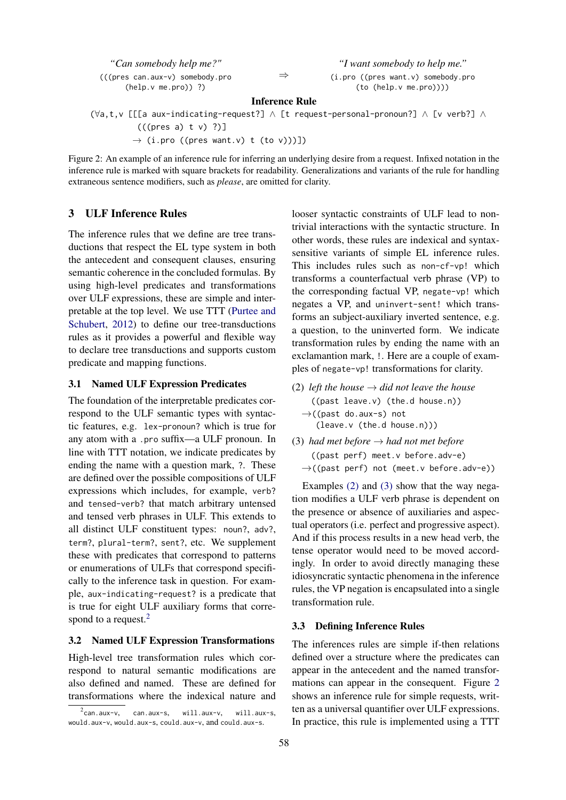<span id="page-2-3"></span>

| "Can somebody help me?"         |
|---------------------------------|
| (((pres can.aux-v) somebody.pro |
| $(help.v me.py)$ ?)             |

⇒

*"I want somebody to help me."*

(i.pro ((pres want.v) somebody.pro (to (help.v me.pro))))

#### Inference Rule

(∀a,t,v [[[a aux-indicating-request?] ∧ [t request-personal-pronoun?] ∧ [v verb?] ∧ (((pres a) t v) ?)]

 $\rightarrow$  (i.pro ((pres want.v) t (to v)))])

Figure 2: An example of an inference rule for inferring an underlying desire from a request. Infixed notation in the inference rule is marked with square brackets for readability. Generalizations and variants of the rule for handling extraneous sentence modifiers, such as *please*, are omitted for clarity.

# <span id="page-2-4"></span>3 ULF Inference Rules

The inference rules that we define are tree transductions that respect the EL type system in both the antecedent and consequent clauses, ensuring semantic coherence in the concluded formulas. By using high-level predicates and transformations over ULF expressions, these are simple and interpretable at the top level. We use TTT [\(Purtee and](#page-8-3) [Schubert,](#page-8-3) [2012\)](#page-8-3) to define our tree-transductions rules as it provides a powerful and flexible way to declare tree transductions and supports custom predicate and mapping functions.

### 3.1 Named ULF Expression Predicates

The foundation of the interpretable predicates correspond to the ULF semantic types with syntactic features, e.g. lex-pronoun? which is true for any atom with a .pro suffix—a ULF pronoun. In line with TTT notation, we indicate predicates by ending the name with a question mark, ?. These are defined over the possible compositions of ULF expressions which includes, for example, verb? and tensed-verb? that match arbitrary untensed and tensed verb phrases in ULF. This extends to all distinct ULF constituent types: noun?, adv?, term?, plural-term?, sent?, etc. We supplement these with predicates that correspond to patterns or enumerations of ULFs that correspond specifically to the inference task in question. For example, aux-indicating-request? is a predicate that is true for eight ULF auxiliary forms that corre-spond to a request.<sup>[2](#page-2-0)</sup>

#### 3.2 Named ULF Expression Transformations

High-level tree transformation rules which correspond to natural semantic modifications are also defined and named. These are defined for transformations where the indexical nature and looser syntactic constraints of ULF lead to nontrivial interactions with the syntactic structure. In other words, these rules are indexical and syntaxsensitive variants of simple EL inference rules. This includes rules such as non-cf-vp! which transforms a counterfactual verb phrase (VP) to the corresponding factual VP, negate-vp! which negates a VP, and uninvert-sent! which transforms an subject-auxiliary inverted sentence, e.g. a question, to the uninverted form. We indicate transformation rules by ending the name with an exclamantion mark, !. Here are a couple of examples of negate-vp! transformations for clarity.

- <span id="page-2-1"></span>(2) *left the house*  $\rightarrow$  *did not leave the house* ((past leave.v) (the.d house.n)) →((past do.aux-s) not (leave.v (the.d house.n)))
- <span id="page-2-2"></span>(3) *had met before*  $\rightarrow$  *had not met before* ((past perf) meet.v before.adv-e)  $\rightarrow$ ((past perf) not (meet.v before.adv-e))

Examples [\(2\)](#page-2-1) and [\(3\)](#page-2-2) show that the way negation modifies a ULF verb phrase is dependent on the presence or absence of auxiliaries and aspectual operators (i.e. perfect and progressive aspect). And if this process results in a new head verb, the tense operator would need to be moved accordingly. In order to avoid directly managing these idiosyncratic syntactic phenomena in the inference rules, the VP negation is encapsulated into a single transformation rule.

#### 3.3 Defining Inference Rules

The inferences rules are simple if-then relations defined over a structure where the predicates can appear in the antecedent and the named transformations can appear in the consequent. Figure [2](#page-2-3) shows an inference rule for simple requests, written as a universal quantifier over ULF expressions. In practice, this rule is implemented using a TTT

<span id="page-2-0"></span> $^2$ can.aux-v, can.aux-s, will.aux-v, will.aux-s, would.aux-v, would.aux-s, could.aux-v, and could.aux-s.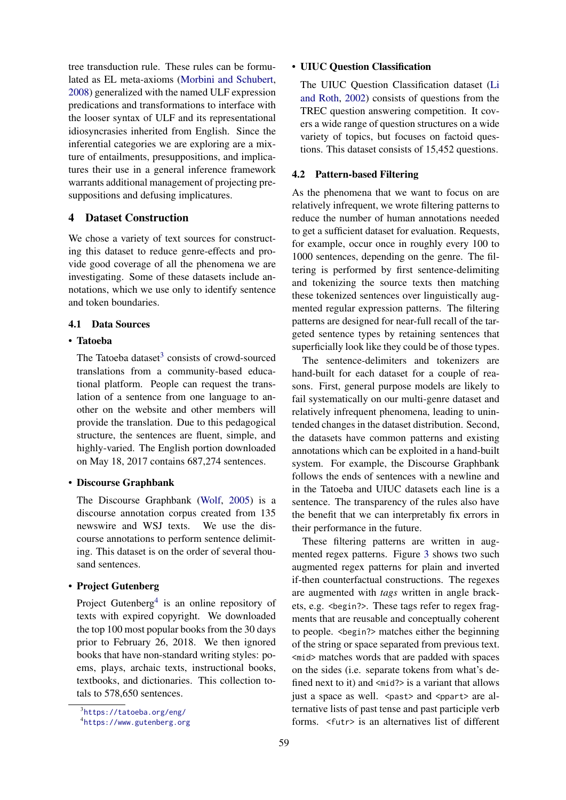tree transduction rule. These rules can be formulated as EL meta-axioms [\(Morbini and Schubert,](#page-8-4) [2008\)](#page-8-4) generalized with the named ULF expression predications and transformations to interface with the looser syntax of ULF and its representational idiosyncrasies inherited from English. Since the inferential categories we are exploring are a mixture of entailments, presuppositions, and implicatures their use in a general inference framework warrants additional management of projecting presuppositions and defusing implicatures.

### 4 Dataset Construction

We chose a variety of text sources for constructing this dataset to reduce genre-effects and provide good coverage of all the phenomena we are investigating. Some of these datasets include annotations, which we use only to identify sentence and token boundaries.

### 4.1 Data Sources

# • Tatoeba

The Tatoeba dataset<sup>[3](#page-3-0)</sup> consists of crowd-sourced translations from a community-based educational platform. People can request the translation of a sentence from one language to another on the website and other members will provide the translation. Due to this pedagogical structure, the sentences are fluent, simple, and highly-varied. The English portion downloaded on May 18, 2017 contains 687,274 sentences.

#### • Discourse Graphbank

The Discourse Graphbank [\(Wolf,](#page-9-0) [2005\)](#page-9-0) is a discourse annotation corpus created from 135 newswire and WSJ texts. We use the discourse annotations to perform sentence delimiting. This dataset is on the order of several thousand sentences.

### • Project Gutenberg

Project Gutenberg<sup>[4](#page-3-1)</sup> is an online repository of texts with expired copyright. We downloaded the top 100 most popular books from the 30 days prior to February 26, 2018. We then ignored books that have non-standard writing styles: poems, plays, archaic texts, instructional books, textbooks, and dictionaries. This collection totals to 578,650 sentences.

### • UIUC Question Classification

The UIUC Question Classification dataset [\(Li](#page-8-5) [and Roth,](#page-8-5) [2002\)](#page-8-5) consists of questions from the TREC question answering competition. It covers a wide range of question structures on a wide variety of topics, but focuses on factoid questions. This dataset consists of 15,452 questions.

#### <span id="page-3-2"></span>4.2 Pattern-based Filtering

As the phenomena that we want to focus on are relatively infrequent, we wrote filtering patterns to reduce the number of human annotations needed to get a sufficient dataset for evaluation. Requests, for example, occur once in roughly every 100 to 1000 sentences, depending on the genre. The filtering is performed by first sentence-delimiting and tokenizing the source texts then matching these tokenized sentences over linguistically augmented regular expression patterns. The filtering patterns are designed for near-full recall of the targeted sentence types by retaining sentences that superficially look like they could be of those types.

The sentence-delimiters and tokenizers are hand-built for each dataset for a couple of reasons. First, general purpose models are likely to fail systematically on our multi-genre dataset and relatively infrequent phenomena, leading to unintended changes in the dataset distribution. Second, the datasets have common patterns and existing annotations which can be exploited in a hand-built system. For example, the Discourse Graphbank follows the ends of sentences with a newline and in the Tatoeba and UIUC datasets each line is a sentence. The transparency of the rules also have the benefit that we can interpretably fix errors in their performance in the future.

These filtering patterns are written in augmented regex patterns. Figure [3](#page-4-0) shows two such augmented regex patterns for plain and inverted if-then counterfactual constructions. The regexes are augmented with *tags* written in angle brackets, e.g. <begin?>. These tags refer to regex fragments that are reusable and conceptually coherent to people. <begin?> matches either the beginning of the string or space separated from previous text. <mid> matches words that are padded with spaces on the sides (i.e. separate tokens from what's defined next to it) and  $\langle mid?\rangle$  is a variant that allows just a space as well. <past> and <ppart> are alternative lists of past tense and past participle verb forms. <futr> is an alternatives list of different

<span id="page-3-0"></span><sup>3</sup> <https://tatoeba.org/eng/>

<span id="page-3-1"></span><sup>4</sup> <https://www.gutenberg.org>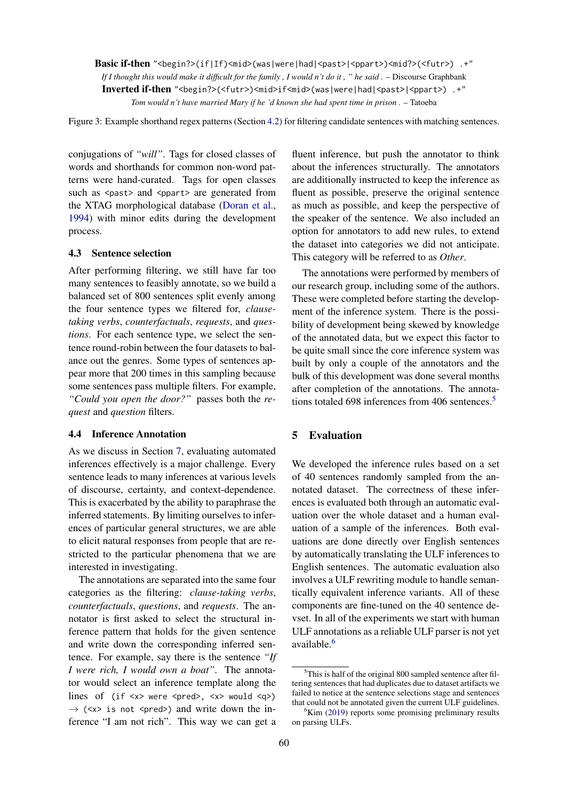<span id="page-4-0"></span>Basic if-then "<br/>begin?>(if|If)<mid>(was|were|had|<past>|<ppart>)<mid?>(<futr>) .+" *If I thought this would make it difficult for the family , I would n't do it , " he said .* – Discourse Graphbank Inverted if-then "<begin?>(<futr>)<mid>if<mid>(was|were|had|<past>|<ppart>) .+" *Tom would n't have married Mary if he 'd known she had spent time in prison .* – Tatoeba

Figure 3: Example shorthand regex patterns (Section [4.2\)](#page-3-2) for filtering candidate sentences with matching sentences.

conjugations of *"will"*. Tags for closed classes of words and shorthands for common non-word patterns were hand-curated. Tags for open classes such as <past> and <ppart> are generated from the XTAG morphological database [\(Doran et al.,](#page-8-6) [1994\)](#page-8-6) with minor edits during the development process.

#### 4.3 Sentence selection

After performing filtering, we still have far too many sentences to feasibly annotate, so we build a balanced set of 800 sentences split evenly among the four sentence types we filtered for, *clausetaking verbs*, *counterfactuals*, *requests*, and *questions*. For each sentence type, we select the sentence round-robin between the four datasets to balance out the genres. Some types of sentences appear more that 200 times in this sampling because some sentences pass multiple filters. For example, *"Could you open the door?"* passes both the *request* and *question* filters.

#### 4.4 Inference Annotation

As we discuss in Section [7,](#page-6-0) evaluating automated inferences effectively is a major challenge. Every sentence leads to many inferences at various levels of discourse, certainty, and context-dependence. This is exacerbated by the ability to paraphrase the inferred statements. By limiting ourselves to inferences of particular general structures, we are able to elicit natural responses from people that are restricted to the particular phenomena that we are interested in investigating.

The annotations are separated into the same four categories as the filtering: *clause-taking verbs*, *counterfactuals*, *questions*, and *requests*. The annotator is first asked to select the structural inference pattern that holds for the given sentence and write down the corresponding inferred sentence. For example, say there is the sentence *"If I were rich, I would own a boat"*. The annotator would select an inference template along the lines of (if <x> were <pred>, <x> would <q>)  $\rightarrow$  (<x> is not <pred>) and write down the inference "I am not rich". This way we can get a

fluent inference, but push the annotator to think about the inferences structurally. The annotators are additionally instructed to keep the inference as fluent as possible, preserve the original sentence as much as possible, and keep the perspective of the speaker of the sentence. We also included an option for annotators to add new rules, to extend the dataset into categories we did not anticipate. This category will be referred to as *Other*.

The annotations were performed by members of our research group, including some of the authors. These were completed before starting the development of the inference system. There is the possibility of development being skewed by knowledge of the annotated data, but we expect this factor to be quite small since the core inference system was built by only a couple of the annotators and the bulk of this development was done several months after completion of the annotations. The annota-tions totaled 698 inferences from 406 sentences.<sup>[5](#page-4-1)</sup>

### 5 Evaluation

We developed the inference rules based on a set of 40 sentences randomly sampled from the annotated dataset. The correctness of these inferences is evaluated both through an automatic evaluation over the whole dataset and a human evaluation of a sample of the inferences. Both evaluations are done directly over English sentences by automatically translating the ULF inferences to English sentences. The automatic evaluation also involves a ULF rewriting module to handle semantically equivalent inference variants. All of these components are fine-tuned on the 40 sentence devset. In all of the experiments we start with human ULF annotations as a reliable ULF parser is not yet available.[6](#page-4-2)

<span id="page-4-1"></span> $5$ This is half of the original 800 sampled sentence after filtering sentences that had duplicates due to dataset artifacts we failed to notice at the sentence selections stage and sentences that could not be annotated given the current ULF guidelines.

<span id="page-4-2"></span> ${}^{6}$ Kim [\(2019\)](#page-8-1) reports some promising preliminary results on parsing ULFs.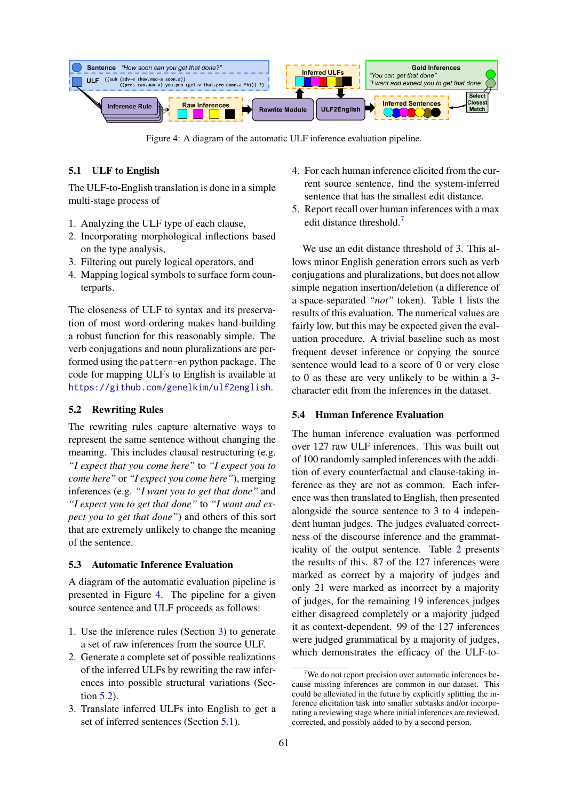<span id="page-5-0"></span>

Figure 4: A diagram of the automatic ULF inference evaluation pipeline.

### <span id="page-5-2"></span>5.1 ULF to English

The ULF-to-English translation is done in a simple multi-stage process of

- 1. Analyzing the ULF type of each clause,
- 2. Incorporating morphological inflections based on the type analysis,
- 3. Filtering out purely logical operators, and
- 4. Mapping logical symbols to surface form counterparts.

The closeness of ULF to syntax and its preservation of most word-ordering makes hand-building a robust function for this reasonably simple. The verb conjugations and noun pluralizations are performed using the pattern-en python package. The code for mapping ULFs to English is available at <https://github.com/genelkim/ulf2english>.

### <span id="page-5-1"></span>5.2 Rewriting Rules

The rewriting rules capture alternative ways to represent the same sentence without changing the meaning. This includes clausal restructuring (e.g. *"I expect that you come here"* to *"I expect you to come here"* or *"I expect you come here"*), merging inferences (e.g. *"I want you to get that done"* and *"I expect you to get that done"* to *"I want and expect you to get that done"*) and others of this sort that are extremely unlikely to change the meaning of the sentence.

#### <span id="page-5-4"></span>5.3 Automatic Inference Evaluation

A diagram of the automatic evaluation pipeline is presented in Figure [4.](#page-5-0) The pipeline for a given source sentence and ULF proceeds as follows:

- 1. Use the inference rules (Section [3\)](#page-2-4) to generate a set of raw inferences from the source ULF.
- 2. Generate a complete set of possible realizations of the inferred ULFs by rewriting the raw inferences into possible structural variations (Section [5.2\)](#page-5-1).
- 3. Translate inferred ULFs into English to get a set of inferred sentences (Section [5.1\)](#page-5-2).
- 4. For each human inference elicited from the current source sentence, find the system-inferred sentence that has the smallest edit distance.
- 5. Report recall over human inferences with a max edit distance threshold.<sup>[7](#page-5-3)</sup>

We use an edit distance threshold of 3. This allows minor English generation errors such as verb conjugations and pluralizations, but does not allow simple negation insertion/deletion (a difference of a space-separated *"not"* token). Table [1](#page-6-1) lists the results of this evaluation. The numerical values are fairly low, but this may be expected given the evaluation procedure. A trivial baseline such as most frequent devset inference or copying the source sentence would lead to a score of 0 or very close to 0 as these are very unlikely to be within a 3 character edit from the inferences in the dataset.

#### <span id="page-5-5"></span>5.4 Human Inference Evaluation

The human inference evaluation was performed over 127 raw ULF inferences. This was built out of 100 randomly sampled inferences with the addition of every counterfactual and clause-taking inference as they are not as common. Each inference was then translated to English, then presented alongside the source sentence to 3 to 4 independent human judges. The judges evaluated correctness of the discourse inference and the grammaticality of the output sentence. Table [2](#page-6-2) presents the results of this. 87 of the 127 inferences were marked as correct by a majority of judges and only 21 were marked as incorrect by a majority of judges, for the remaining 19 inferences judges either disagreed completely or a majority judged it as context-dependent. 99 of the 127 inferences were judged grammatical by a majority of judges, which demonstrates the efficacy of the ULF-to-

<span id="page-5-3"></span> $7$ We do not report precision over automatic inferences because missing inferences are common in our dataset. This could be alleviated in the future by explicitly splitting the inference elicitation task into smaller subtasks and/or incorporating a reviewing stage where initial inferences are reviewed, corrected, and possibly added to by a second person.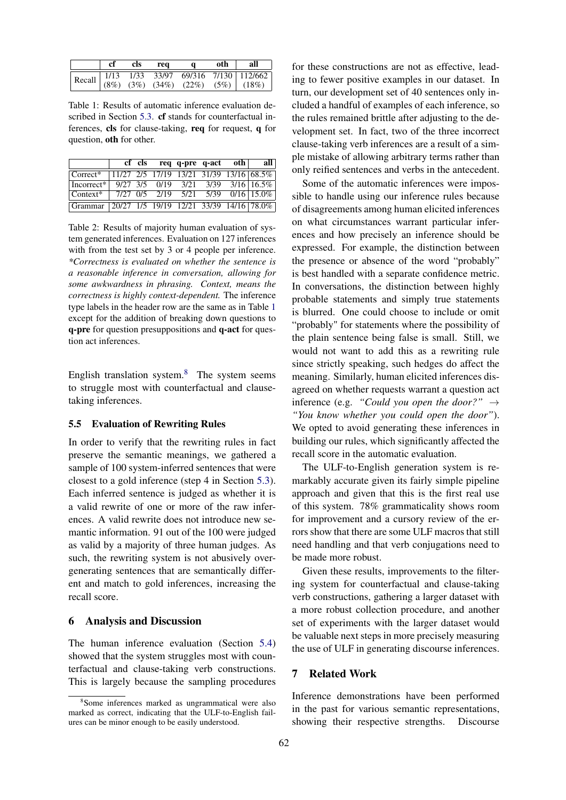<span id="page-6-1"></span>

|                                                                                                                                                                                                                                            | cf | cls | req | $\alpha$ | oth | all |
|--------------------------------------------------------------------------------------------------------------------------------------------------------------------------------------------------------------------------------------------|----|-----|-----|----------|-----|-----|
| Recall $\begin{array}{ l c c c c c c c } \hline \text{Recall} & \text{1/13} & \text{1/33} & \text{33/97} & \text{69/316} & \text{7/130} & \text{112/662} \\ \hline (8\%) & (3\%) & (34\%) & (22\%) & (5\%) & (18\%) \\ \hline \end{array}$ |    |     |     |          |     |     |
|                                                                                                                                                                                                                                            |    |     |     |          |     |     |

Table 1: Results of automatic inference evaluation described in Section [5.3.](#page-5-4) cf stands for counterfactual inferences, cls for clause-taking, req for request, q for question, oth for other.

<span id="page-6-2"></span>

|                                                                    | cf cls |  | req q-pre q-act oth | all                                               |
|--------------------------------------------------------------------|--------|--|---------------------|---------------------------------------------------|
| $\sqrt{\text{Correct*} + 11/27}$ 2/5 17/19 13/21 31/39 13/16 68.5% |        |  |                     |                                                   |
| Incorrect <sup>*</sup>                                             |        |  |                     | $9/27$ $3/5$ $0/19$ $3/21$ $3/39$ $3/16$ $16.5\%$ |
|                                                                    |        |  |                     |                                                   |
| Grammar 20/27 1/5 19/19 12/21 33/39 14/16 78.0%                    |        |  |                     |                                                   |

Table 2: Results of majority human evaluation of system generated inferences. Evaluation on 127 inferences with from the test set by 3 or 4 people per inference. *\*Correctness is evaluated on whether the sentence is a reasonable inference in conversation, allowing for some awkwardness in phrasing. Context, means the correctness is highly context-dependent.* The inference type labels in the header row are the same as in Table [1](#page-6-1) except for the addition of breaking down questions to q-pre for question presuppositions and q-act for question act inferences.

English translation system. $8$  The system seems to struggle most with counterfactual and clausetaking inferences.

#### 5.5 Evaluation of Rewriting Rules

In order to verify that the rewriting rules in fact preserve the semantic meanings, we gathered a sample of 100 system-inferred sentences that were closest to a gold inference (step 4 in Section [5.3\)](#page-5-4). Each inferred sentence is judged as whether it is a valid rewrite of one or more of the raw inferences. A valid rewrite does not introduce new semantic information. 91 out of the 100 were judged as valid by a majority of three human judges. As such, the rewriting system is not abusively overgenerating sentences that are semantically different and match to gold inferences, increasing the recall score.

#### 6 Analysis and Discussion

The human inference evaluation (Section [5.4\)](#page-5-5) showed that the system struggles most with counterfactual and clause-taking verb constructions. This is largely because the sampling procedures

for these constructions are not as effective, leading to fewer positive examples in our dataset. In turn, our development set of 40 sentences only included a handful of examples of each inference, so the rules remained brittle after adjusting to the development set. In fact, two of the three incorrect clause-taking verb inferences are a result of a simple mistake of allowing arbitrary terms rather than only reified sentences and verbs in the antecedent.

Some of the automatic inferences were impossible to handle using our inference rules because of disagreements among human elicited inferences on what circumstances warrant particular inferences and how precisely an inference should be expressed. For example, the distinction between the presence or absence of the word "probably" is best handled with a separate confidence metric. In conversations, the distinction between highly probable statements and simply true statements is blurred. One could choose to include or omit "probably" for statements where the possibility of the plain sentence being false is small. Still, we would not want to add this as a rewriting rule since strictly speaking, such hedges do affect the meaning. Similarly, human elicited inferences disagreed on whether requests warrant a question act inference (e.g. *"Could you open the door?"*  $\rightarrow$ *"You know whether you could open the door"*). We opted to avoid generating these inferences in building our rules, which significantly affected the recall score in the automatic evaluation.

The ULF-to-English generation system is remarkably accurate given its fairly simple pipeline approach and given that this is the first real use of this system. 78% grammaticality shows room for improvement and a cursory review of the errors show that there are some ULF macros that still need handling and that verb conjugations need to be made more robust.

Given these results, improvements to the filtering system for counterfactual and clause-taking verb constructions, gathering a larger dataset with a more robust collection procedure, and another set of experiments with the larger dataset would be valuable next steps in more precisely measuring the use of ULF in generating discourse inferences.

### <span id="page-6-0"></span>7 Related Work

Inference demonstrations have been performed in the past for various semantic representations, showing their respective strengths. Discourse

<span id="page-6-3"></span><sup>8</sup> Some inferences marked as ungrammatical were also marked as correct, indicating that the ULF-to-English failures can be minor enough to be easily understood.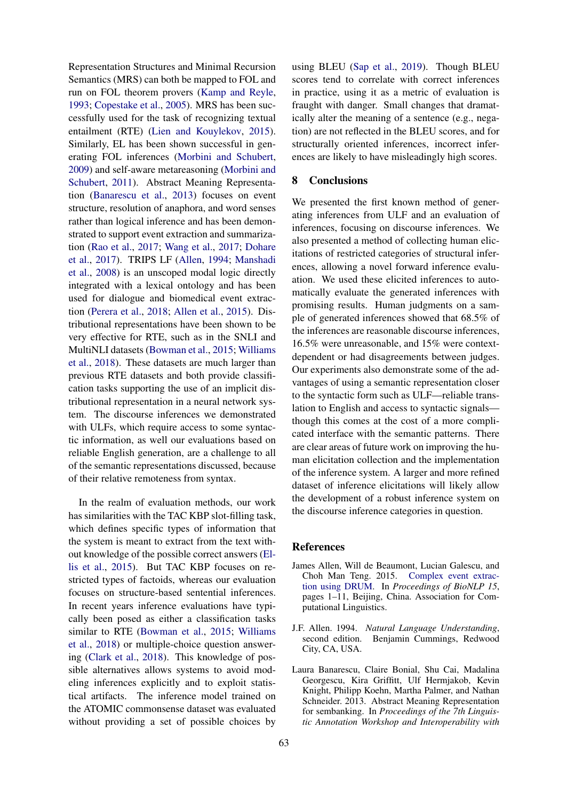Representation Structures and Minimal Recursion Semantics (MRS) can both be mapped to FOL and run on FOL theorem provers [\(Kamp and Reyle,](#page-8-7) [1993;](#page-8-7) [Copestake et al.,](#page-8-8) [2005\)](#page-8-8). MRS has been successfully used for the task of recognizing textual entailment (RTE) [\(Lien and Kouylekov,](#page-8-9) [2015\)](#page-8-9). Similarly, EL has been shown successful in generating FOL inferences [\(Morbini and Schubert,](#page-8-10) [2009\)](#page-8-10) and self-aware metareasoning [\(Morbini and](#page-8-11) [Schubert,](#page-8-11) [2011\)](#page-8-11). Abstract Meaning Representation [\(Banarescu et al.,](#page-7-0) [2013\)](#page-7-0) focuses on event structure, resolution of anaphora, and word senses rather than logical inference and has been demonstrated to support event extraction and summarization [\(Rao et al.,](#page-8-12) [2017;](#page-8-12) [Wang et al.,](#page-8-13) [2017;](#page-8-13) [Dohare](#page-8-14) [et al.,](#page-8-14) [2017\)](#page-8-14). TRIPS LF [\(Allen,](#page-7-1) [1994;](#page-7-1) [Manshadi](#page-8-15) [et al.,](#page-8-15) [2008\)](#page-8-15) is an unscoped modal logic directly integrated with a lexical ontology and has been used for dialogue and biomedical event extraction [\(Perera et al.,](#page-8-16) [2018;](#page-8-16) [Allen et al.,](#page-7-2) [2015\)](#page-7-2). Distributional representations have been shown to be very effective for RTE, such as in the SNLI and MultiNLI datasets [\(Bowman et al.,](#page-8-17) [2015;](#page-8-17) [Williams](#page-9-1) [et al.,](#page-9-1) [2018\)](#page-9-1). These datasets are much larger than previous RTE datasets and both provide classification tasks supporting the use of an implicit distributional representation in a neural network system. The discourse inferences we demonstrated with ULFs, which require access to some syntactic information, as well our evaluations based on reliable English generation, are a challenge to all of the semantic representations discussed, because of their relative remoteness from syntax.

In the realm of evaluation methods, our work has similarities with the TAC KBP slot-filling task, which defines specific types of information that the system is meant to extract from the text without knowledge of the possible correct answers [\(El](#page-8-18)[lis et al.,](#page-8-18) [2015\)](#page-8-18). But TAC KBP focuses on restricted types of factoids, whereas our evaluation focuses on structure-based sentential inferences. In recent years inference evaluations have typically been posed as either a classification tasks similar to RTE [\(Bowman et al.,](#page-8-17) [2015;](#page-8-17) [Williams](#page-9-1) [et al.,](#page-9-1) [2018\)](#page-9-1) or multiple-choice question answering [\(Clark et al.,](#page-8-19) [2018\)](#page-8-19). This knowledge of possible alternatives allows systems to avoid modeling inferences explicitly and to exploit statistical artifacts. The inference model trained on the ATOMIC commonsense dataset was evaluated without providing a set of possible choices by

using BLEU [\(Sap et al.,](#page-8-20) [2019\)](#page-8-20). Though BLEU scores tend to correlate with correct inferences in practice, using it as a metric of evaluation is fraught with danger. Small changes that dramatically alter the meaning of a sentence (e.g., negation) are not reflected in the BLEU scores, and for structurally oriented inferences, incorrect inferences are likely to have misleadingly high scores.

#### 8 Conclusions

We presented the first known method of generating inferences from ULF and an evaluation of inferences, focusing on discourse inferences. We also presented a method of collecting human elicitations of restricted categories of structural inferences, allowing a novel forward inference evaluation. We used these elicited inferences to automatically evaluate the generated inferences with promising results. Human judgments on a sample of generated inferences showed that 68.5% of the inferences are reasonable discourse inferences, 16.5% were unreasonable, and 15% were contextdependent or had disagreements between judges. Our experiments also demonstrate some of the advantages of using a semantic representation closer to the syntactic form such as ULF—reliable translation to English and access to syntactic signals though this comes at the cost of a more complicated interface with the semantic patterns. There are clear areas of future work on improving the human elicitation collection and the implementation of the inference system. A larger and more refined dataset of inference elicitations will likely allow the development of a robust inference system on the discourse inference categories in question.

#### **References**

- <span id="page-7-2"></span>James Allen, Will de Beaumont, Lucian Galescu, and Choh Man Teng. 2015. [Complex event extrac](https://doi.org/10.18653/v1/W15-3801)[tion using DRUM.](https://doi.org/10.18653/v1/W15-3801) In *Proceedings of BioNLP 15*, pages 1–11, Beijing, China. Association for Computational Linguistics.
- <span id="page-7-1"></span>J.F. Allen. 1994. *Natural Language Understanding*, second edition. Benjamin Cummings, Redwood City, CA, USA.
- <span id="page-7-0"></span>Laura Banarescu, Claire Bonial, Shu Cai, Madalina Georgescu, Kira Griffitt, Ulf Hermjakob, Kevin Knight, Philipp Koehn, Martha Palmer, and Nathan Schneider. 2013. Abstract Meaning Representation for sembanking. In *Proceedings of the 7th Linguistic Annotation Workshop and Interoperability with*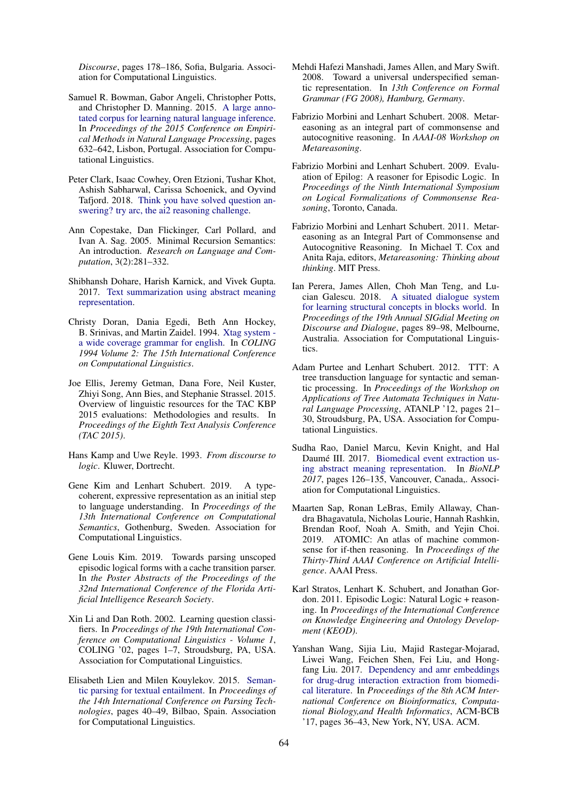*Discourse*, pages 178–186, Sofia, Bulgaria. Association for Computational Linguistics.

- <span id="page-8-17"></span>Samuel R. Bowman, Gabor Angeli, Christopher Potts, and Christopher D. Manning. 2015. [A large anno](https://doi.org/10.18653/v1/D15-1075)[tated corpus for learning natural language inference.](https://doi.org/10.18653/v1/D15-1075) In *Proceedings of the 2015 Conference on Empirical Methods in Natural Language Processing*, pages 632–642, Lisbon, Portugal. Association for Computational Linguistics.
- <span id="page-8-19"></span>Peter Clark, Isaac Cowhey, Oren Etzioni, Tushar Khot, Ashish Sabharwal, Carissa Schoenick, and Oyvind Tafjord. 2018. [Think you have solved question an](http://arxiv.org/abs/arXiv:1803.05457)[swering? try arc, the ai2 reasoning challenge.](http://arxiv.org/abs/arXiv:1803.05457)
- <span id="page-8-8"></span>Ann Copestake, Dan Flickinger, Carl Pollard, and Ivan A. Sag. 2005. Minimal Recursion Semantics: An introduction. *Research on Language and Computation*, 3(2):281–332.
- <span id="page-8-14"></span>Shibhansh Dohare, Harish Karnick, and Vivek Gupta. 2017. [Text summarization using abstract meaning](http://arxiv.org/abs/arXiv:1706.01678) [representation.](http://arxiv.org/abs/arXiv:1706.01678)
- <span id="page-8-6"></span>Christy Doran, Dania Egedi, Beth Ann Hockey, B. Srinivas, and Martin Zaidel. 1994. [Xtag system](https://www.aclweb.org/anthology/C94-2149)  [a wide coverage grammar for english.](https://www.aclweb.org/anthology/C94-2149) In *COLING 1994 Volume 2: The 15th International Conference on Computational Linguistics*.
- <span id="page-8-18"></span>Joe Ellis, Jeremy Getman, Dana Fore, Neil Kuster, Zhiyi Song, Ann Bies, and Stephanie Strassel. 2015. Overview of linguistic resources for the TAC KBP 2015 evaluations: Methodologies and results. In *Proceedings of the Eighth Text Analysis Conference (TAC 2015)*.
- <span id="page-8-7"></span>Hans Kamp and Uwe Reyle. 1993. *From discourse to logic*. Kluwer, Dortrecht.
- <span id="page-8-0"></span>Gene Kim and Lenhart Schubert. 2019. A typecoherent, expressive representation as an initial step to language understanding. In *Proceedings of the 13th International Conference on Computational Semantics*, Gothenburg, Sweden. Association for Computational Linguistics.
- <span id="page-8-1"></span>Gene Louis Kim. 2019. Towards parsing unscoped episodic logical forms with a cache transition parser. In *the Poster Abstracts of the Proceedings of the 32nd International Conference of the Florida Artificial Intelligence Research Society*.
- <span id="page-8-5"></span>Xin Li and Dan Roth. 2002. Learning question classifiers. In *Proceedings of the 19th International Conference on Computational Linguistics - Volume 1*, COLING '02, pages 1–7, Stroudsburg, PA, USA. Association for Computational Linguistics.
- <span id="page-8-9"></span>Elisabeth Lien and Milen Kouylekov. 2015. [Seman](https://doi.org/10.18653/v1/W15-2205)[tic parsing for textual entailment.](https://doi.org/10.18653/v1/W15-2205) In *Proceedings of the 14th International Conference on Parsing Technologies*, pages 40–49, Bilbao, Spain. Association for Computational Linguistics.
- <span id="page-8-15"></span>Mehdi Hafezi Manshadi, James Allen, and Mary Swift. 2008. Toward a universal underspecified semantic representation. In *13th Conference on Formal Grammar (FG 2008), Hamburg, Germany*.
- <span id="page-8-4"></span>Fabrizio Morbini and Lenhart Schubert. 2008. Metareasoning as an integral part of commonsense and autocognitive reasoning. In *AAAI-08 Workshop on Metareasoning*.
- <span id="page-8-10"></span>Fabrizio Morbini and Lenhart Schubert. 2009. Evaluation of Epilog: A reasoner for Episodic Logic. In *Proceedings of the Ninth International Symposium on Logical Formalizations of Commonsense Reasoning*, Toronto, Canada.
- <span id="page-8-11"></span>Fabrizio Morbini and Lenhart Schubert. 2011. Metareasoning as an Integral Part of Commonsense and Autocognitive Reasoning. In Michael T. Cox and Anita Raja, editors, *Metareasoning: Thinking about thinking*. MIT Press.
- <span id="page-8-16"></span>Ian Perera, James Allen, Choh Man Teng, and Lucian Galescu. 2018. [A situated dialogue system](https://www.aclweb.org/anthology/W18-5010) [for learning structural concepts in blocks world.](https://www.aclweb.org/anthology/W18-5010) In *Proceedings of the 19th Annual SIGdial Meeting on Discourse and Dialogue*, pages 89–98, Melbourne, Australia. Association for Computational Linguistics.
- <span id="page-8-3"></span>Adam Purtee and Lenhart Schubert. 2012. TTT: A tree transduction language for syntactic and semantic processing. In *Proceedings of the Workshop on Applications of Tree Automata Techniques in Natural Language Processing*, ATANLP '12, pages 21– 30, Stroudsburg, PA, USA. Association for Computational Linguistics.
- <span id="page-8-12"></span>Sudha Rao, Daniel Marcu, Kevin Knight, and Hal Daumé III. 2017. [Biomedical event extraction us](https://doi.org/10.18653/v1/W17-2315)[ing abstract meaning representation.](https://doi.org/10.18653/v1/W17-2315) In *BioNLP 2017*, pages 126–135, Vancouver, Canada,. Association for Computational Linguistics.
- <span id="page-8-20"></span>Maarten Sap, Ronan LeBras, Emily Allaway, Chandra Bhagavatula, Nicholas Lourie, Hannah Rashkin, Brendan Roof, Noah A. Smith, and Yejin Choi. 2019. ATOMIC: An atlas of machine commonsense for if-then reasoning. In *Proceedings of the Thirty-Third AAAI Conference on Artificial Intelligence*. AAAI Press.
- <span id="page-8-2"></span>Karl Stratos, Lenhart K. Schubert, and Jonathan Gordon. 2011. Episodic Logic: Natural Logic + reasoning. In *Proceedings of the International Conference on Knowledge Engineering and Ontology Development (KEOD)*.
- <span id="page-8-13"></span>Yanshan Wang, Sijia Liu, Majid Rastegar-Mojarad, Liwei Wang, Feichen Shen, Fei Liu, and Hongfang Liu. 2017. [Dependency and amr embeddings](https://doi.org/10.1145/3107411.3107426) [for drug-drug interaction extraction from biomedi](https://doi.org/10.1145/3107411.3107426)[cal literature.](https://doi.org/10.1145/3107411.3107426) In *Proceedings of the 8th ACM International Conference on Bioinformatics, Computational Biology,and Health Informatics*, ACM-BCB '17, pages 36–43, New York, NY, USA. ACM.